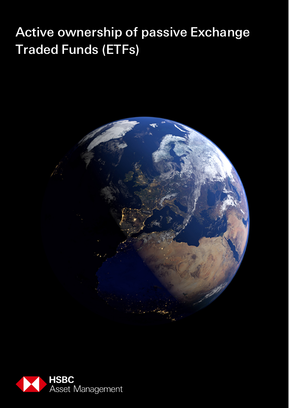# Active ownership of passive Exchange Traded Funds (ETFs)



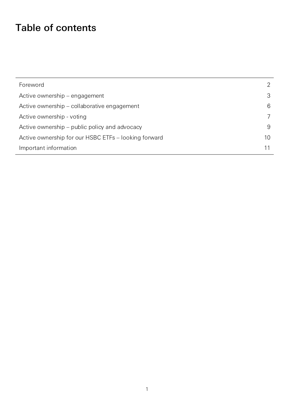# Table of contents

| Foreword                                             |    |
|------------------------------------------------------|----|
| Active ownership – engagement                        |    |
| Active ownership - collaborative engagement          | 6  |
| Active ownership - voting                            |    |
| Active ownership – public policy and advocacy        | 9  |
| Active ownership for our HSBC ETFs - looking forward | 10 |
| Important information                                |    |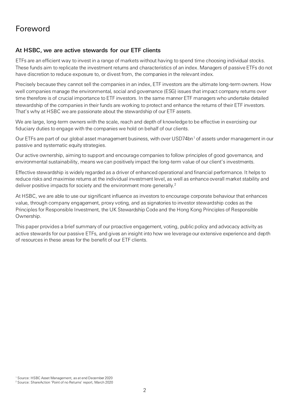## <span id="page-2-0"></span>Foreword

### At HSBC, we are active stewards for our ETF clients

ETFs are an efficient way to invest in a range of markets without having to spend time choosing individual stocks. These funds aim to replicate the investment returns and characteristics of an index. Managers of passive ETFs do not have discretion to reduce exposure to, or divest from, the companies in the relevant index.

Precisely because they cannot sell the companies in an index, ETF investors are the ultimate long-term owners. How well companies manage the environmental, social and governance (ESG) issues that impact company returns over time therefore is of crucial importance to ETF investors. In the same manner ETF managers who undertake detailed stewardship of the companies in their funds are working to protect and enhance the returns of their ETF investors. That's why at HSBC we are passionate about the stewardship of our ETF assets.

We are large, long-term owners with the scale, reach and depth of knowledge to be effective in exercising our fiduciary duties to engage with the companies we hold on behalf of our clients.

Our ETFs are part of our global asset management business, with over USD74bn<sup>[1](#page-2-1)</sup> of assets under management in our passive and systematic equity strategies.

Our active ownership, aiming to support and encourage companies to follow principles of good governance, and environmental sustainability, means we can positively impact the long-term value of our client's investments.

Effective stewardship is widely regarded as a driver of enhanced operational and financial performance. It helps to reduce risks and maximise returns at the individual investment level, as well as enhance overall market stability and deliver positive impacts for society and the environment more generally. [2](#page-2-2)

At HSBC, we are able to use our significant influence as investors to encourage corporate behaviour that enhances value, through company engagement, proxy voting, and as signatories to investor stewardship codes as the Principles for Responsible Investment, the UK Stewardship Code and the Hong Kong Principles of Responsible Ownership.

This paper provides a brief summary of our proactive engagement, voting, public policy and advocacy activity as active stewards for our passive ETFs, and gives an insight into how we leverage our extensive experience and depth of resources in these areas for the benefit of our ETF clients.

<span id="page-2-1"></span><sup>1</sup> Source: HSBC Asset Management, as at end December 2020

<span id="page-2-2"></span><sup>2</sup> Source: ShareAction 'Point of no Returns' report, March 2020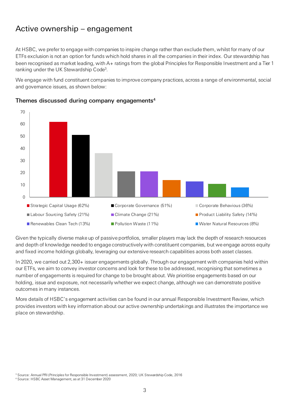# <span id="page-3-0"></span>Active ownership – engagement

At HSBC, we prefer to engage with companies to inspire change rather than exclude them, whilst for many of our ETFs exclusion is not an option for funds which hold shares in all the companies in their index. Our stewardship has been recognised as market leading, with A+ ratings from the global Principles for Responsible Investment and a Tier 1 ranking under the UK Stewardship Code<sup>3</sup>.

We engage with fund constituent companies to improve company practices, across a range of environmental, social and governance issues, as shown below:



#### Themes discussed during company engagements<sup>4</sup>

Given the typically diverse make up of passive portfolios, smaller players may lack the depth of research resources and depth of knowledge needed to engage constructively with constituent companies, but we engage across equity and fixed income holdings globally, leveraging our extensive research capabilities across both asset classes.

In 2020, we carried out 2,300+ issuer engagements globally. Through our engagement with companies held within our ETFs, we aim to convey investor concerns and look for these to be addressed, recognising that sometimes a number of engagements is required for change to be brought about. We prioritise engagements based on our holding, issue and exposure, not necessarily whether we expect change, although we can demonstrate positive outcomes in many instances.

More details of HSBC's engagement activities can be found in our annual Responsible Investment Review, which provides investors with key information about our active ownership undertakings and illustrates the importance we place on stewardship.

<sup>3</sup> Source: Annual PRI (Principles for Responsible Investment) assessment, 2020; UK Stewardship Code, 2016

<sup>4</sup> Source: HSBC Asset Management, as at 31 December 2020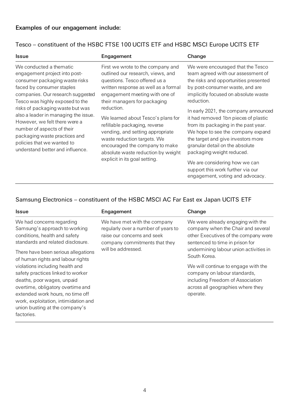### Tesco – constituent of the HSBC FTSE 100 UCITS ETF and HSBC MSCI Europe UCITS ETF

| <b>Issue</b>                                                                                                                                                                                                                                                                                                                                                                                                                                  | Engagement                                                                                                                                                                                                                                                                                                                                                                                                                                                                         | Change                                                                                                                                                                                                                                                                                                                                                                                                                                                                                                                                                                                 |
|-----------------------------------------------------------------------------------------------------------------------------------------------------------------------------------------------------------------------------------------------------------------------------------------------------------------------------------------------------------------------------------------------------------------------------------------------|------------------------------------------------------------------------------------------------------------------------------------------------------------------------------------------------------------------------------------------------------------------------------------------------------------------------------------------------------------------------------------------------------------------------------------------------------------------------------------|----------------------------------------------------------------------------------------------------------------------------------------------------------------------------------------------------------------------------------------------------------------------------------------------------------------------------------------------------------------------------------------------------------------------------------------------------------------------------------------------------------------------------------------------------------------------------------------|
| We conducted a thematic<br>engagement project into post-<br>consumer packaging waste risks<br>faced by consumer staples<br>companies. Our research suggested<br>Tesco was highly exposed to the<br>risks of packaging waste but was<br>also a leader in managing the issue.<br>However, we felt there were a<br>number of aspects of their<br>packaging waste practices and<br>policies that we wanted to<br>understand better and influence. | First we wrote to the company and<br>outlined our research, views, and<br>questions. Tesco offered us a<br>written response as well as a formal<br>engagement meeting with one of<br>their managers for packaging<br>reduction.<br>We learned about Tesco's plans for<br>refillable packaging, reverse<br>vending, and setting appropriate<br>waste reduction targets. We<br>encouraged the company to make<br>absolute waste reduction by weight<br>explicit in its goal setting. | We were encouraged that the Tesco<br>team agreed with our assessment of<br>the risks and opportunities presented<br>by post-consumer waste, and are<br>implicitly focused on absolute waste<br>reduction.<br>In early 2021, the company announced<br>it had removed 1bn pieces of plastic<br>from its packaging in the past year.<br>We hope to see the company expand<br>the target and give investors more<br>granular detail on the absolute<br>packaging weight reduced.<br>We are considering how we can<br>support this work further via our<br>engagement, voting and advocacy. |

### Samsung Electronics – constituent of the HSBC MSCI AC Far East ex Japan UCITS ETF

| <b>Issue</b>                                                                                                                                                                                                        | Engagement                                                                                                                          | Change                                                                                                                                                   |
|---------------------------------------------------------------------------------------------------------------------------------------------------------------------------------------------------------------------|-------------------------------------------------------------------------------------------------------------------------------------|----------------------------------------------------------------------------------------------------------------------------------------------------------|
| We had concerns regarding<br>Samsung's approach to working<br>conditions, health and safety<br>standards and related disclosure.                                                                                    | We have met with the company<br>regularly over a number of years to<br>raise our concerns and seek<br>company commitments that they | We were already engaging with the<br>company when the Chair and several<br>other Executives of the company were<br>sentenced to time in prison for       |
| There have been serious allegations<br>of human rights and labour rights                                                                                                                                            | will be addressed.                                                                                                                  | undermining labour union activities in<br>South Korea.                                                                                                   |
| violations including health and<br>safety practices linked to worker<br>deaths, poor wages, unpaid<br>overtime, obligatory overtime and<br>extended work hours, no time off<br>work, exploitation, intimidation and |                                                                                                                                     | We will continue to engage with the<br>company on labour standards,<br>including Freedom of Association<br>across all geographies where they<br>operate. |
| union busting at the company's<br>factories.                                                                                                                                                                        |                                                                                                                                     |                                                                                                                                                          |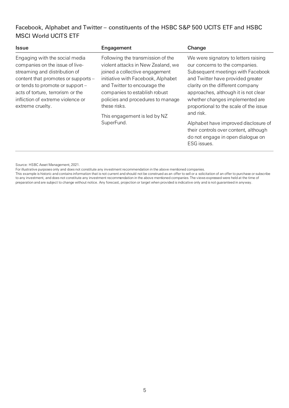### Facebook, Alphabet and Twitter – constituents of the HSBC S&P 500 UCITS ETF and HSBC MSCI World UCITS ETF

| <b>Issue</b>                                                                                                                                                                                                                                                                | Engagement                                                                                                                                                                                                                                                                                                          | Change                                                                                                                                                                                                                                                                                                                                                                                                  |
|-----------------------------------------------------------------------------------------------------------------------------------------------------------------------------------------------------------------------------------------------------------------------------|---------------------------------------------------------------------------------------------------------------------------------------------------------------------------------------------------------------------------------------------------------------------------------------------------------------------|---------------------------------------------------------------------------------------------------------------------------------------------------------------------------------------------------------------------------------------------------------------------------------------------------------------------------------------------------------------------------------------------------------|
| Engaging with the social media<br>companies on the issue of live-<br>streaming and distribution of<br>content that promotes or supports -<br>or tends to promote or support -<br>acts of torture, terrorism or the<br>infliction of extreme violence or<br>extreme cruelty. | Following the transmission of the<br>violent attacks in New Zealand, we<br>joined a collective engagement<br>initiative with Facebook, Alphabet<br>and Twitter to encourage the<br>companies to establish robust<br>policies and procedures to manage<br>these risks.<br>This engagement is led by NZ<br>SuperFund. | We were signatory to letters raising<br>our concerns to the companies.<br>Subsequent meetings with Facebook<br>and Twitter have provided greater<br>clarity on the different company<br>approaches, although it is not clear<br>whether changes implemented are<br>proportional to the scale of the issue<br>and risk.<br>Alphabet have improved disclosure of<br>their controls over content, although |
|                                                                                                                                                                                                                                                                             |                                                                                                                                                                                                                                                                                                                     | do not engage in open dialogue on<br>ESG issues.                                                                                                                                                                                                                                                                                                                                                        |

Source: HSBC Asset Management, 2021.

For illustrative purposes only and does not constitute any investment recommendation in the above mentioned companies.

This example is historic and contains information that is not current and should not be construed as an offer to sell or a solicitation of an offer to purchase or subscribe to any investment, and does not constitute any investment recommendation in the above mentioned companies. The views expressed were held at the time of preparation and are subject to change without notice. Any forecast, projection or target when provided is indicative only and is not guaranteed in anyway.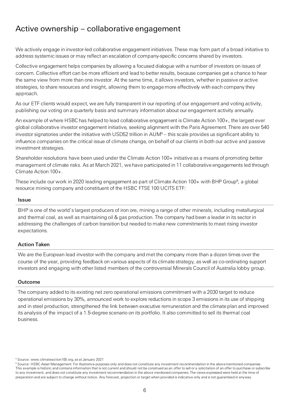# <span id="page-6-0"></span>Active ownership – collaborative engagement

We actively engage in investor-led collaborative engagement initiatives. These may form part of a broad initiative to address systemic issues or may reflect an escalation of company-specific concerns shared by investors.

Collective engagement helps companies by allowing a focused dialogue with a number of investors on issues of concern. Collective effort can be more efficient and lead to better results, because companies get a chance to hear the same view from more than one investor. At the same time, it allows investors, whether in passive or active strategies, to share resources and insight, allowing them to engage more effectively with each company they approach.

As our ETF clients would expect, we are fully transparent in our reporting of our engagement and voting activity, publishing our voting on a quarterly basis and summary information about our engagement activity annually.

An example of where HSBC has helped to lead collaborative engagement is Climate Action 100+, the largest ever global collaborative investor engagement initiative, seeking alignment with the Paris Agreement. There are over 540 investor signatories under the initiative with USD52 trillion in AUM5 – this scale provides us significant ability to influence companies on the critical issue of climate change, on behalf of our clients in both our active and passive investment strategies.

Shareholder resolutions have been used under the Climate Action 100+ initiative as a means of promoting better management of climate risks. As at March 2021, we have participated in 11 collaborative engagements led through Climate Action 100+.

These include our work in 2020 leading engagement as part of Climate Action 100+ with BHP Group $^6$ , a global resource mining company and constituent of the HSBC FTSE 100 UCITS ETF:

#### **Issue**

BHP is one of the world's largest producers of iron ore, mining a range of other minerals, including metallurgical and thermal coal, as well as maintaining oil & gas production. The company had been a leader in its sector in addressing the challenges of carbon transition but needed to make new commitments to meet rising investor expectations.

#### Action Taken

We are the European lead investor with the company and met the company more than a dozen times over the course of the year, providing feedback on various aspects of its climate strategy, as well as co-ordinating support investors and engaging with other listed members of the controversial Minerals Council of Australia lobby group.

#### Outcome

The company added to its existing net zero operational emissions commitment with a 2030 target to reduce operational emissions by 30%, announced work to explore reductions in scope 3 emissions in its use of shipping and in steel production, strengthened the link between executive remuneration and the climate plan and improved its analysis of the impact of a 1.5-degree scenario on its portfolio. It also committed to sell its thermal coal business.

<sup>5</sup> Source: www.climateaction100.org, as at January 2021

<sup>&</sup>lt;sup>6</sup> Source: HSBC Asset Management. For illustrative purposes only and does not constitute any investment recommendation in the above mentioned companies. This example is historic and contains information that is not current and should not be construed as an offer to sell or a solicitation of an offer to purchase or subscribe to any investment, and does not constitute any investment recommendation in the above mentioned companies. The views expressed were held at the time of preparation and are subject to change without notice. Any forecast, projection or target when provided is indicative only and is not guaranteed in anyway.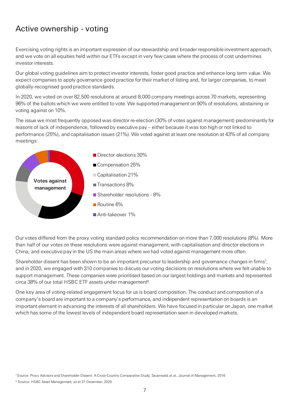# <span id="page-7-0"></span>Active ownership - voting

Exercising voting rights is an important expression of our stewardship and broader responsible investment approach, and we vote on all equities held within our ETFs except in very few cases where the process of cost undermines investor interests.

Our global voting guidelines aim to protect investor interests, foster good practice and enhance long term value. We expect companies to apply governance good practice for their market of listing and, for larger companies, to meet globally-recognised good practice standards.

In 2020, we voted on over 82,500 resolutions at around 8,000 company meetings across 70 markets, representing 96% of the ballots which we were entitled to vote. We supported management on 90% of resolutions, abstaining or voting against on 10%.

The issue we most frequently opposed was director re-election (30% of votes against management) predominantly for reasons of lack of independence, followed by executive pay – either because it was too high or not linked to performance (25%), and capitalisation issues (21%). We voted against at least one resolution at 43% of all company meetings:



Our votes differed from the proxy voting standard policy recommendation on more than 7,000 resolutions (8%). More than half of our votes on these resolutions were against management, with capitalisation and director elections in China, and executive pay in the US the main areas where we had voted against management more often.

Shareholder dissent has been shown to be an important precursor to leadership and governance changes in firms<sup>7</sup>, and in 2020, we engaged with 310 companies to discuss our voting decisions on resolutions where we felt unable to support management. These companies were prioritised based on our largest holdings and markets and represented circa 38% of our total HSBC ETF assets under management<sup>8</sup>.

One key area of voting-related engagement focus for us is board composition. The conduct and composition of a company's board are important to a company's performance, and independent representation on boards is an important element in advancing the interests of all shareholders. We have focused in particular on Japan, one market which has some of the lowest levels of independent board representation seen in developed markets.

<sup>7</sup>Source: Proxy Advisors and Shareholder Dissent: A Cross-Country Comparative Study, Sauerwald, et al., Journal of Management, 2016

<sup>8</sup> Source: HSBC Asset Management, as at 31 December, 2020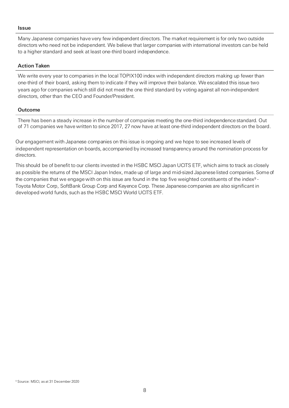#### **Issue**

Many Japanese companies have very few independent directors. The market requirement is for only two outside directors who need not be independent. We believe that larger companies with international investors can be held to a higher standard and seek at least one-third board independence.

#### Action Taken

We write every year to companies in the local TOPIX100 index with independent directors making up fewer than one-third of their board, asking them to indicate if they will improve their balance. We escalated this issue two years ago for companies which still did not meet the one third standard by voting against all non-independent directors, other than the CEO and Founder/President.

#### Outcome

There has been a steady increase in the number of companies meeting the one-third independence standard. Out of 71 companies we have written to since 2017, 27 now have at least one-third independent directors on the board.

Our engagement with Japanese companies on this issue is ongoing and we hope to see increased levels of independent representation on boards, accompanied by increased transparency around the nomination process for directors.

This should be of benefit to our clients invested in the HSBC MSCI Japan UCITS ETF, which aims to track as closely as possible the returns of the MSCI Japan Index, made up of large and mid-sized Japanese listed companies. Some of the companies that we engage with on this issue are found in the top five weighted constituents of the index<sup>9</sup> -Toyota Motor Corp, SoftBank Group Corp and Keyence Corp. These Japanese companies are also significant in developed world funds, such as the HSBC MSCI World UCITS ETF.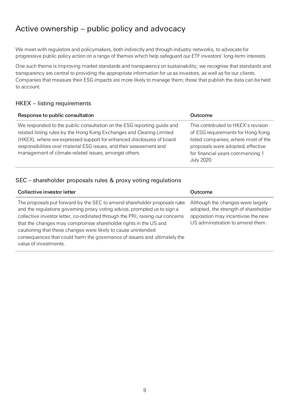# <span id="page-9-0"></span>Active ownership – public policy and advocacy

We meet with regulators and policymakers, both indirectly and through industry networks, to advocate for progressive public policy action on a range of themes which help safeguard our ETF investors' long-term interests.

One such theme is improving market standards and transparency on sustainability; we recognise that standards and transparency are central to providing the appropriate information for us as investors, as well as for our clients. Companies that measure their ESG impacts are more likely to manage them; those that publish the data can be held to account.

### HKEX – listing requirements

| Response to public consultation                                                                                                                                                                                                                                                                                                                         | Outcome                                                                                                                                                                                                       |
|---------------------------------------------------------------------------------------------------------------------------------------------------------------------------------------------------------------------------------------------------------------------------------------------------------------------------------------------------------|---------------------------------------------------------------------------------------------------------------------------------------------------------------------------------------------------------------|
| We responded to the public consultation on the ESG reporting guide and<br>related listing rules by the Hong Kong Exchanges and Clearing Limited<br>(HKEX), where we expressed support for enhanced disclosures of board<br>responsibilities over material ESG issues, and their assessment and<br>management of climate-related issues, amongst others. | This contributed to HKEX's revision<br>of ESG requirements for Hong Kong<br>listed companies, where most of the<br>proposals were adopted, effective<br>for financial years commencing 1<br><b>July 2020.</b> |

### SEC – shareholder proposals rules & proxy voting regulations

| Collective investor letter                                                                                                                                                                                                                                                                                                                                                                                                                                                         | Outcome                                                                                                                                             |
|------------------------------------------------------------------------------------------------------------------------------------------------------------------------------------------------------------------------------------------------------------------------------------------------------------------------------------------------------------------------------------------------------------------------------------------------------------------------------------|-----------------------------------------------------------------------------------------------------------------------------------------------------|
| The proposals put forward by the SEC to amend shareholder proposals rules<br>and the regulations governing proxy voting advice, prompted us to sign a<br>collective investor letter, co-ordinated through the PRI, raising our concerns<br>that the changes may compromise shareholder rights in the US and<br>cautioning that these changes were likely to cause unintended<br>consequences that could harm the governance of issuers and ultimately the<br>value of investments. | Although the changes were largely<br>adopted, the strength of shareholder<br>opposition may incentivise the new<br>US administration to amend them. |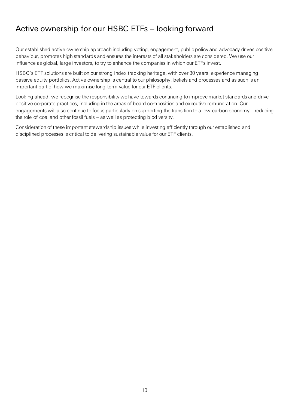# <span id="page-10-0"></span>Active ownership for our HSBC ETFs – looking forward

Our established active ownership approach including voting, engagement, public policy and advocacy drives positive behaviour, promotes high standards and ensures the interests of all stakeholders are considered. We use our influence as global, large investors, to try to enhance the companies in which our ETFs invest.

HSBC's ETF solutions are built on our strong index tracking heritage, with over 30 years' experience managing passive equity portfolios. Active ownership is central to our philosophy, beliefs and processes and as such is an important part of how we maximise long-term value for our ETF clients.

Looking ahead, we recognise the responsibility we have towards continuing to improve market standards and drive positive corporate practices, including in the areas of board composition and executive remuneration. Our engagements will also continue to focus particularly on supporting the transition to a low-carbon economy – reducing the role of coal and other fossil fuels – as well as protecting biodiversity.

Consideration of these important stewardship issues while investing efficiently through our established and disciplined processes is critical to delivering sustainable value for our ETF clients.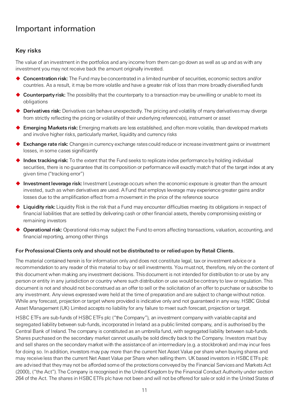# <span id="page-11-0"></span>Important information

### Key risks

The value of an investment in the portfolios and any income from them can go down as well as up and as with any investment you may not receive back the amount originally invested.

- ◆ Concentration risk: The Fund may be concentrated in a limited number of securities, economic sectors and/or countries. As a result, it may be more volatile and have a greater risk of loss than more broadly diversified funds
- ◆ Counterparty risk: The possibility that the counterparty to a transaction may be unwilling or unable to meet its obligations
- ◆ Derivatives risk: Derivatives can behave unexpectedly. The pricing and volatility of many derivatives may diverge from strictly reflecting the pricing or volatility of their underlying reference(s), instrument or asset
- ◆ Emerging Markets risk: Emerging markets are less established, and often more volatile, than developed markets and involve higher risks, particularly market, liquidity and currency risks
- ◆ Exchange rate risk: Changes in currency exchange rates could reduce or increase investment gains or investment losses, in some cases significantly
- $\blacklozenge$  Index tracking risk: To the extent that the Fund seeks to replicate index performance by holding individual securities, there is no guarantee that its composition or performance will exactly match that of the target index at any given time ("tracking error")
- Investment leverage risk: Investment Leverage occurs when the economic exposure is greater than the amount invested, such as when derivatives are used. A Fund that employs leverage may experience greater gains and/or losses due to the amplification effect from a movement in the price of the reference source
- $\blacklozenge$  Liquidity risk: Liquidity Risk is the risk that a Fund may encounter difficulties meeting its obligations in respect of financial liabilities that are settled by delivering cash or other financial assets, thereby compromising existing or remaining investors
- ◆ Operational risk: Operational risks may subject the Fund to errors affecting transactions, valuation, accounting, and financial reporting, among other things

#### For Professional Clients only and should not be distributed to or relied upon by Retail Clients.

The material contained herein is for information only and does not constitute legal, tax or investment advice or a recommendation to any reader of this material to buy or sell investments. You must not, therefore, rely on the content of this document when making any investment decisions. This document is not intended for distribution to or use by any person or entity in any jurisdiction or country where such distribution or use would be contrary to law or regulation. This document is not and should not be construed as an offer to sell or the solicitation of an offer to purchase or subscribe to any investment. Any views expressed were held at the time of preparation and are subject to change without notice. While any forecast, projection or target where provided is indicative only and not guaranteed in any way. HSBC Global Asset Management (UK) Limited accepts no liability for any failure to meet such forecast, projection or target.

HSBC ETFs are sub-funds of HSBC ETFs plc ("the Company"), an investment company with variable capital and segregated liability between sub-funds, incorporated in Ireland as a public limited company, and is authorised by the Central Bank of Ireland. The company is constituted as an umbrella fund, with segregated liability between sub-funds. Shares purchased on the secondary market cannot usually be sold directly back to the Company. Investors must buy and sell shares on the secondary market with the assistance of an intermediary (e.g. a stockbroker) and may incur fees for doing so. In addition, investors may pay more than the current Net Asset Value per share when buying shares and may receive less than the current Net Asset Value per Share when selling them. UK based investors in HSBC ETFs plc are advised that they may not be afforded some of the protections conveyed by the Financial Services and Markets Act (2000), ("the Act"). The Company is recognised in the United Kingdom by the Financial Conduct Authority under section 264 of the Act. The shares in HSBC ETFs plc have not been and will not be offered for sale or sold in the United States of